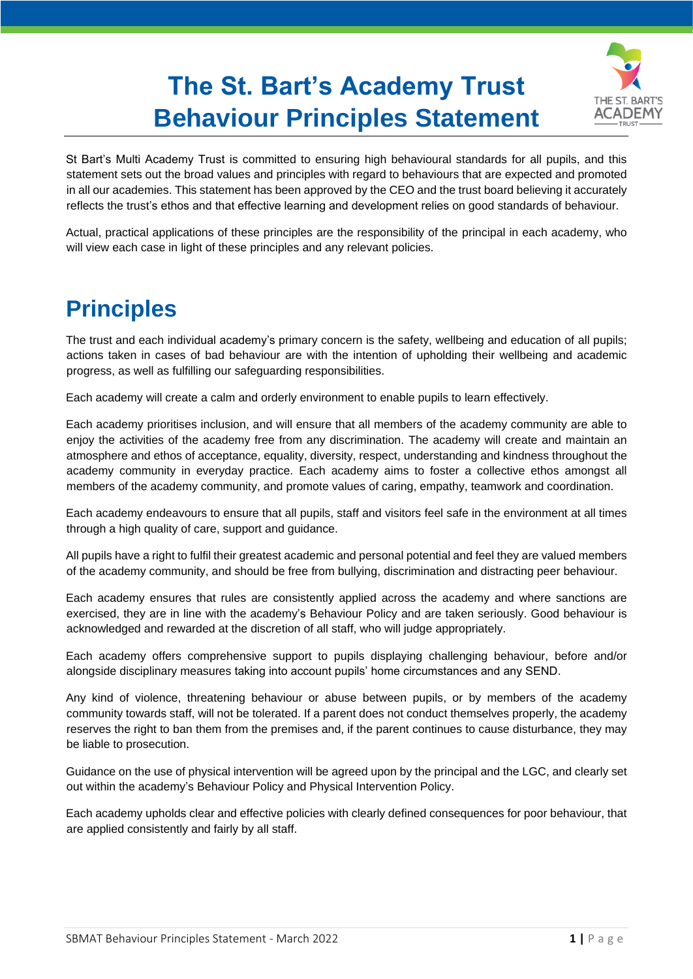## **The St. Bart's Academy Trust Behaviour Principles Statement**



St Bart's Multi Academy Trust is committed to ensuring high behavioural standards for all pupils, and this statement sets out the broad values and principles with regard to behaviours that are expected and promoted in all our academies. This statement has been approved by the CEO and the trust board believing it accurately reflects the trust's ethos and that effective learning and development relies on good standards of behaviour.

Actual, practical applications of these principles are the responsibility of the principal in each academy, who will view each case in light of these principles and any relevant policies.

## **Principles**

The trust and each individual academy's primary concern is the safety, wellbeing and education of all pupils; actions taken in cases of bad behaviour are with the intention of upholding their wellbeing and academic progress, as well as fulfilling our safeguarding responsibilities.

Each academy will create a calm and orderly environment to enable pupils to learn effectively.

Each academy prioritises inclusion, and will ensure that all members of the academy community are able to enjoy the activities of the academy free from any discrimination. The academy will create and maintain an atmosphere and ethos of acceptance, equality, diversity, respect, understanding and kindness throughout the academy community in everyday practice. Each academy aims to foster a collective ethos amongst all members of the academy community, and promote values of caring, empathy, teamwork and coordination.

Each academy endeavours to ensure that all pupils, staff and visitors feel safe in the environment at all times through a high quality of care, support and guidance.

All pupils have a right to fulfil their greatest academic and personal potential and feel they are valued members of the academy community, and should be free from bullying, discrimination and distracting peer behaviour.

Each academy ensures that rules are consistently applied across the academy and where sanctions are exercised, they are in line with the academy's Behaviour Policy and are taken seriously. Good behaviour is acknowledged and rewarded at the discretion of all staff, who will judge appropriately.

Each academy offers comprehensive support to pupils displaying challenging behaviour, before and/or alongside disciplinary measures taking into account pupils' home circumstances and any SEND.

Any kind of violence, threatening behaviour or abuse between pupils, or by members of the academy community towards staff, will not be tolerated. If a parent does not conduct themselves properly, the academy reserves the right to ban them from the premises and, if the parent continues to cause disturbance, they may be liable to prosecution.

Guidance on the use of physical intervention will be agreed upon by the principal and the LGC, and clearly set out within the academy's Behaviour Policy and Physical Intervention Policy.

Each academy upholds clear and effective policies with clearly defined consequences for poor behaviour, that are applied consistently and fairly by all staff.